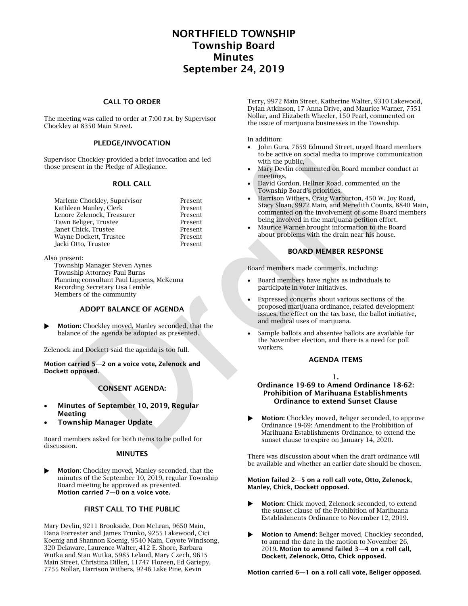# NORTHFIELD TOWNSHIP Township Board Minutes September 24, 2019

## CALL TO ORDER

The meeting was called to order at 7:00 P.M. by Supervisor Chockley at 8350 Main Street.

## PLEDGE/INVOCATION

Supervisor Chockley provided a brief invocation and led those present in the Pledge of Allegiance.

#### ROLL CALL

| Marlene Chockley, Supervisor | Present |
|------------------------------|---------|
| Kathleen Manley, Clerk       | Present |
| Lenore Zelenock, Treasurer   | Present |
| Tawn Beliger, Trustee        | Present |
| Janet Chick, Trustee         | Present |
| Wayne Dockett, Trustee       | Present |
| Jacki Otto, Trustee          | Present |
|                              |         |

Also present:

Township Manager Steven Aynes Township Attorney Paul Burns Planning consultant Paul Lippens, McKenna Recording Secretary Lisa Lemble Members of the community

#### ADOPT BALANCE OF AGENDA

 Motion: Chockley moved, Manley seconded, that the balance of the agenda be adopted as presented.

Zelenock and Dockett said the agenda is too full.

Motion carried 5—2 on a voice vote, Zelenock and Dockett opposed.

## CONSENT AGENDA:

- Minutes of September 10, 2019, Regular Meeting
- Township Manager Update

Board members asked for both items to be pulled for discussion.

## MINUTES

 Motion: Chockley moved, Manley seconded, that the minutes of the September 10, 2019, regular Township Board meeting be approved as presented. Motion carried 7—0 on a voice vote.

## FIRST CALL TO THE PUBLIC

Mary Devlin, 9211 Brookside, Don McLean, 9650 Main, Dana Forrester and James Trunko, 9255 Lakewood, Cici Koenig and Shannon Koenig, 9540 Main, Coyote Windsong, 320 Delaware, Laurence Walter, 412 E. Shore, Barbara Wutka and Stan Wutka, 5985 Leland, Mary Czech, 9615 Main Street, Christina Dillen, 11747 Floreen, Ed Gariepy, 7755 Nollar, Harrison Withers, 9246 Lake Pine, Kevin

Terry, 9972 Main Street, Katherine Walter, 9310 Lakewood, Dylan Atkinson, 17 Anna Drive, and Maurice Warner, 7551 Nollar, and Elizabeth Wheeler, 150 Pearl, commented on the issue of marijuana businesses in the Township.

In addition:

- John Gura, 7659 Edmund Street, urged Board members to be active on social media to improve communication with the public,
- Mary Devlin commented on Board member conduct at meetings,
- David Gordon, Hellner Road, commented on the Township Board's priorities,
- Harrison Withers, Craig Warburton, 450 W. Joy Road, Stacy Sloan, 9972 Main, and Meredith Counts, 8840 Main, commented on the involvement of some Board members being involved in the marijuana petition effort.
- Maurice Warner brought information to the Board about problems with the drain near his house.

### BOARD MEMBER RESPONSE

Board members made comments, including:

- Board members have rights as individuals to participate in voter initiatives.
- Expressed concerns about various sections of the proposed marijuana ordinance, related development issues, the effect on the tax base, the ballot initiative, and medical uses of marijuana.
- Sample ballots and absentee ballots are available for the November election, and there is a need for poll workers.

#### AGENDA ITEMS

1.

#### Ordinance 19-69 to Amend Ordinance 18-62: Prohibition of Marihuana Establishments Ordinance to extend Sunset Clause

 Motion: Chockley moved, Beliger seconded, to approve Ordinance 19-69: Amendment to the Prohibition of Marihuana Establishments Ordinance, to extend the sunset clause to expire on January 14, 2020.

There was discussion about when the draft ordinance will be available and whether an earlier date should be chosen.

#### Motion failed 2—5 on a roll call vote, Otto, Zelenock, Manley, Chick, Dockett opposed.

- Motion: Chick moved, Zelenock seconded, to extend the sunset clause of the Prohibition of Marihuana Establishments Ordinance to November 12, 2019.
- Motion to Amend: Beliger moved, Chockley seconded, to amend the date in the motion to November 26, 2019. Motion to amend failed 3—4 on a roll call, Dockett, Zelenock, Otto, Chick opposed.

Motion carried 6—1 on a roll call vote, Beliger opposed.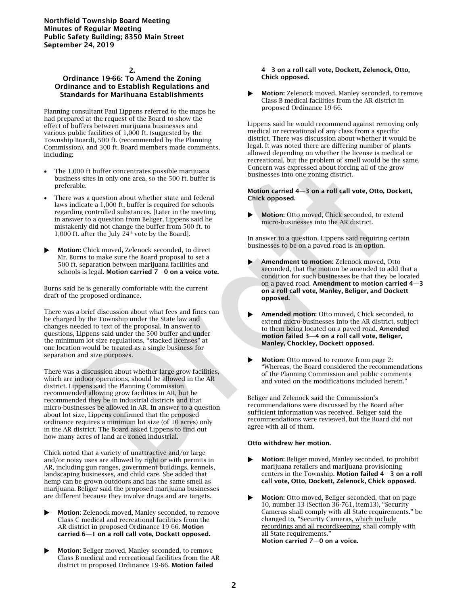Northfield Township Board Meeting Minutes of Regular Meeting Public Safety Building; 8350 Main Street September 24, 2019

#### 2.

## Ordinance 19-66: To Amend the Zoning Ordinance and to Establish Regulations and Standards for Marihuana Establishments

Planning consultant Paul Lippens referred to the maps he had prepared at the request of the Board to show the effect of buffers between marijuana businesses and various public facilities of 1,000 ft. (suggested by the Township Board), 500 ft. (recommended by the Planning Commission), and 300 ft. Board members made comments, including:

- The 1,000 ft buffer concentrates possible marijuana business sites in only one area, so the 500 ft. buffer is preferable.
- There was a question about whether state and federal laws indicate a 1,000 ft. buffer is required for schools regarding controlled substances. [Later in the meeting, in answer to a question from Beliger, Lippens said he mistakenly did not change the buffer from 500 ft. to 1,000 ft. after the July  $24^{\text{th}}$  vote by the Board].
- Motion: Chick moved, Zelenock seconded, to direct Mr. Burns to make sure the Board proposal to set a 500 ft. separation between marijuana facilities and schools is legal. Motion carried 7—0 on a voice vote.

Burns said he is generally comfortable with the current draft of the proposed ordinance.

There was a brief discussion about what fees and fines can be charged by the Township under the State law and changes needed to text of the proposal. In answer to questions, Lippens said under the 500 buffer and under the minimum lot size regulations, "stacked licenses" at one location would be treated as a single business for separation and size purposes.

There was a discussion about whether large grow facilities, which are indoor operations, should be allowed in the AR district. Lippens said the Planning Commission recommended allowing grow facilities in AR, but he recommended they be in industrial districts and that micro-businesses be allowed in AR. In answer to a question about lot size, Lippens confirmed that the proposed ordinance requires a minimum lot size (of 10 acres) only in the AR district. The Board asked Lippens to find out how many acres of land are zoned industrial.

Chick noted that a variety of unattractive and/or large and/or noisy uses are allowed by right or with permits in AR, including gun ranges, government buildings, kennels, landscaping businesses, and child care. She added that hemp can be grown outdoors and has the same smell as marijuana. Beliger said the proposed marijuana businesses are different because they involve drugs and are targets.

- Motion: Zelenock moved, Manley seconded, to remove Class C medical and recreational facilities from the AR district in proposed Ordinance 19-66. Motion carried 6—1 on a roll call vote, Dockett opposed.
- Motion: Beliger moved, Manley seconded, to remove Class B medical and recreational facilities from the AR district in proposed Ordinance 19-66. Motion failed

4—3 on a roll call vote, Dockett, Zelenock, Otto, Chick opposed.

 Motion: Zelenock moved, Manley seconded, to remove Class B medical facilities from the AR district in proposed Ordinance 19-66.

Lippens said he would recommend against removing only medical or recreational of any class from a specific district. There was discussion about whether it would be legal. It was noted there are differing number of plants allowed depending on whether the license is medical or recreational, but the problem of smell would be the same. Concern was expressed about forcing all of the grow businesses into one zoning district.

#### Motion carried 4—3 on a roll call vote, Otto, Dockett, Chick opposed.

Motion: Otto moved, Chick seconded, to extend micro-businesses into the AR district.

In answer to a question, Lippens said requiring certain businesses to be on a paved road is an option.

- Amendment to motion: Zelenock moved, Otto seconded, that the motion be amended to add that a condition for such businesses be that they be located on a paved road. Amendment to motion carried 4—3 on a roll call vote, Manley, Beliger, and Dockett opposed.
- Amended motion: Otto moved, Chick seconded, to extend micro-businesses into the AR district, subject to them being located on a paved road. Amended motion failed 3—4 on a roll call vote, Beliger, Manley, Chockley, Dockett opposed.
- Motion: Otto moved to remove from page 2: "Whereas, the Board considered the recommendations of the Planning Commission and public comments and voted on the modifications included herein."

Beliger and Zelenock said the Commission's recommendations were discussed by the Board after sufficient information was received. Beliger said the recommendations were reviewed, but the Board did not agree with all of them.

#### Otto withdrew her motion.

- Motion: Beliger moved, Manley seconded, to prohibit marijuana retailers and marijuana provisioning centers in the Township. Motion failed 4—3 on a roll call vote, Otto, Dockett, Zelenock, Chick opposed.
- Motion: Otto moved, Beliger seconded, that on page 10, number 13 (Section 36-761, item13), "Security Cameras shall comply with all State requirements." be changed to, "Security Cameras, which include recordings and all recordkeeping, shall comply with all State requirements." Motion carried 7—0 on a voice.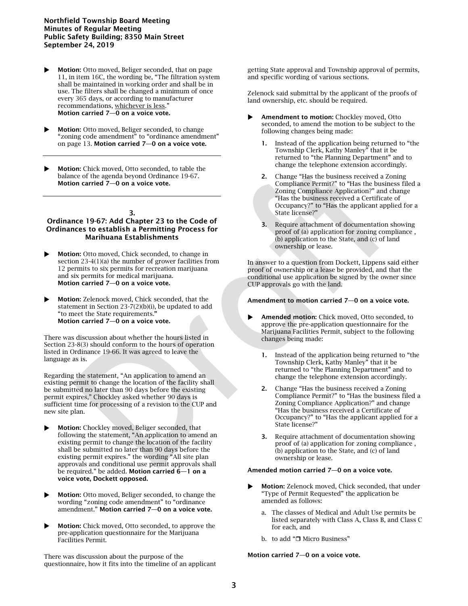### Northfield Township Board Meeting Minutes of Regular Meeting Public Safety Building; 8350 Main Street September 24, 2019

- Motion: Otto moved, Beliger seconded, that on page 11, in item 16C, the wording be, "The filtration system shall be maintained in working order and shall be in use. The filters shall be changed a minimum of once every 365 days, or according to manufacturer recommendations, whichever is less." Motion carried 7—0 on a voice vote.
- **Motion:** Otto moved, Beliger seconded, to change "zoning code amendment" to "ordinance amendment" on page 13. Motion carried 7—0 on a voice vote.
- Motion: Chick moved, Otto seconded, to table the balance of the agenda beyond Ordinance 19-67. Motion carried 7—0 on a voice vote.

#### 3.

### Ordinance 19-67: Add Chapter 23 to the Code of Ordinances to establish a Permitting Process for Marihuana Establishments

- Motion: Otto moved, Chick seconded, to change in section 23-4(1)(a) the number of grower facilities from 12 permits to six permits for recreation marijuana and six permits for medical marijuana. Motion carried 7—0 on a voice vote.
- Motion: Zelenock moved, Chick seconded, that the statement in Section 23-7(2)(b)(i), be updated to add "to meet the State requirements." Motion carried 7—0 on a voice vote.

There was discussion about whether the hours listed in Section 23-8(3) should conform to the hours of operation listed in Ordinance 19-66. It was agreed to leave the language as is.

Regarding the statement, "An application to amend an existing permit to change the location of the facility shall be submitted no later than 90 days before the existing permit expires," Chockley asked whether 90 days is sufficient time for processing of a revision to the CUP and new site plan.

- Motion: Chockley moved, Beliger seconded, that following the statement, "An application to amend an existing permit to change the location of the facility shall be submitted no later than 90 days before the existing permit expires." the wording "All site plan approvals and conditional use permit approvals shall be required." be added. Motion carried 6—1 on a voice vote, Dockett opposed.
- **Motion:** Otto moved, Beliger seconded, to change the wording "zoning code amendment" to "ordinance amendment." Motion carried 7—0 on a voice vote.
- Motion: Chick moved, Otto seconded, to approve the pre-application questionnaire for the Marijuana Facilities Permit.

There was discussion about the purpose of the questionnaire, how it fits into the timeline of an applicant getting State approval and Township approval of permits, and specific wording of various sections.

Zelenock said submittal by the applicant of the proofs of land ownership, etc. should be required.

- Amendment to motion: Chockley moved, Otto seconded, to amend the motion to be subject to the following changes being made:
	- Instead of the application being returned to "the Township Clerk, Kathy Manley" that it be returned to "the Planning Department" and to change the telephone extension accordingly.
	- 2. Change "Has the business received a Zoning Compliance Permit?" to "Has the business filed a Zoning Compliance Application?" and change "Has the business received a Certificate of Occupancy?" to "Has the applicant applied for a State license?"
	- 3. Require attachment of documentation showing proof of (a) application for zoning compliance , (b) application to the State, and (c) of land ownership or lease.

In answer to a question from Dockett, Lippens said either proof of ownership or a lease be provided, and that the conditional use application be signed by the owner since CUP approvals go with the land.

### Amendment to motion carried 7—0 on a voice vote.

- Amended motion: Chick moved, Otto seconded, to approve the pre-application questionnaire for the Marijuana Facilities Permit, subject to the following changes being made:
	- 1. Instead of the application being returned to "the Township Clerk, Kathy Manley" that it be returned to "the Planning Department" and to change the telephone extension accordingly.
	- 2. Change "Has the business received a Zoning Compliance Permit?" to "Has the business filed a Zoning Compliance Application?" and change "Has the business received a Certificate of Occupancy?" to "Has the applicant applied for a State license?"
	- 3. Require attachment of documentation showing proof of (a) application for zoning compliance , (b) application to the State, and (c) of land ownership or lease.

#### Amended motion carried 7—0 on a voice vote.

- Motion: Zelenock moved, Chick seconded, that under "Type of Permit Requested" the application be amended as follows:
	- a. The classes of Medical and Adult Use permits be listed separately with Class A, Class B, and Class C for each, and
	- b. to add " $\Box$  Micro Business"

#### Motion carried 7—0 on a voice vote.